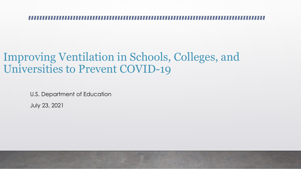### Improving Ventilation in Schools, Colleges, and Universities to Prevent COVID-19

U.S. Department of Education

July 23, 2021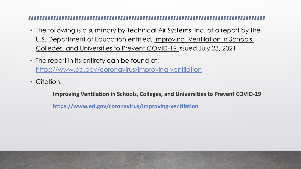- The following is a summary by Technical Air Systems, Inc. of a report by the U.S. Department of Education entitled, Improving Ventilation in Schools, Colleges, and Universities to Prevent COVID-19 issued July 23, 2021.
- The report in its entirety can be found at: <https://www.ed.gov/coronavirus/improving-ventilation>
- Citation:

**Improving Ventilation in Schools, Colleges, and Universities to Prevent COVID-19**

**<https://www.ed.gov/coronavirus/improving-ventilation>**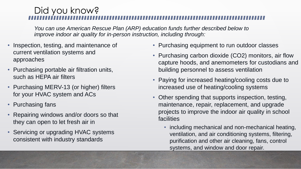### Did you know?

*You can use American Rescue Plan (ARP) education funds further described below to improve indoor air quality for in-person instruction, including through:*

- Inspection, testing, and maintenance of current ventilation systems and approaches
- Purchasing portable air filtration units, such as HEPA air filters
- Purchasing MERV-13 (or higher) filters for your HVAC system and ACs
- Purchasing fans
- Repairing windows and/or doors so that they can open to let fresh air in
- Servicing or upgrading HVAC systems consistent with industry standards
- Purchasing equipment to run outdoor classes
- Purchasing carbon dioxide (CO2) monitors, air flow capture hoods, and anemometers for custodians and building personnel to assess ventilation
- Paying for increased heating/cooling costs due to increased use of heating/cooling systems
- Other spending that supports inspection, testing, maintenance, repair, replacement, and upgrade projects to improve the indoor air quality in school facilities
	- including mechanical and non-mechanical heating, ventilation, and air conditioning systems, filtering, purification and other air cleaning, fans, control systems, and window and door repair.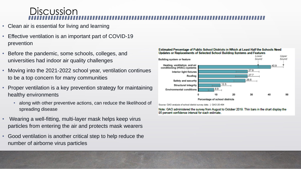### **Discussion**

- Clean air is essential for living and learning
- Effective ventilation is an important part of COVID-19 prevention
- Before the pandemic, some schools, colleges, and universities had indoor air quality challenges
- Moving into the 2021-2022 school year, ventilation continues to be a top concern for many communities
- Proper ventilation is a key prevention strategy for maintaining healthy environments
	- along with other preventive actions, can reduce the likelihood of spreading disease
- Wearing a well-fitting, multi-layer mask helps keep virus particles from entering the air and protects mask wearers
- Good ventilation is another critical step to help reduce the number of airborne virus particles



### Estimated Percentage of Public School Districts in Which at Least Half the Schools Need Updates or Replacements of Selected School Building Systems and Features

Source: GAD analysis of school district survey data. | GAO-20-494

Note: GAO administered the survey from August to October 2019. Thin bars in the chart display the 95 percent confidence interval for each estimate.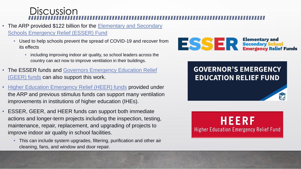### **Discussion**

- The ARP provided \$122 billion for the Elementary and Secondary [Schools Emergency Relief \(ESSER\) Fund](https://oese.ed.gov/offices/american-rescue-plan/american-rescue-plan-elementary-and-secondary-school-emergency-relief/)
	- Used to help schools prevent the spread of COVID-19 and recover from its effects
		- including improving indoor air quality, so school leaders across the country can act now to improve ventilation in their buildings.
- The ESSER funds and Governors Emergency Education Relief (GEER) funds can also support this work.
- [Higher Education Emergency Relief \(HEER\) funds](https://www2.ed.gov/about/offices/list/ope/arp.html) provided under the ARP and previous stimulus funds can support many ventilation improvements in institutions of higher education (IHEs).
- ESSER, GEER, and HEER funds can support both immediate actions and longer-term projects including the inspection, testing, maintenance, repair, replacement, and upgrading of projects to improve indoor air quality in school facilities.
	- This can include system upgrades, filtering, purification and other air cleaning, fans, and window and door repair.



### **GOVERNOR'S EMERGENCY EDUCATION RELIEF FUND**

HEERF **Higher Education Emergency Relief Fund**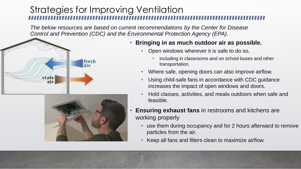*The below resources are based on current recommendations by the Center for Disease Control and Prevention (CDC) and the Environmental Protection Agency (EPA).*





### • **Bringing in as much outdoor air as possible.**

- Open windows wherever it is safe to do so,
	- including in classrooms and on school buses and other transportation.
- Where safe, opening doors can also improve airflow.
- Using child-safe fans in accordance with CDC guidance increases the impact of open windows and doors.
- Hold classes, activities, and meals outdoors when safe and feasible.
- **Ensuring exhaust fans** in restrooms and kitchens are working properly
	- use them during occupancy and for 2 hours afterward to remove particles from the air.
	- Keep all fans and filters clean to maximize airflow.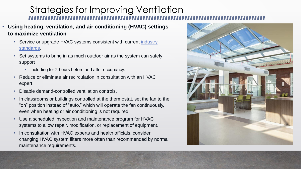- **Using heating, ventilation, and air conditioning (HVAC) settings to maximize ventilation**
	- [Service or upgrade HVAC systems consistent with current](https://www.ashrae.org/technical-resources/ashrae-standards-and-guidelines) industry standards.
	- Set systems to bring in as much outdoor air as the system can safely support
		- including for 2 hours before and after occupancy.
	- Reduce or eliminate air recirculation in consultation with an HVAC expert.
	- Disable demand-controlled ventilation controls.
	- In classrooms or buildings controlled at the thermostat, set the fan to the "on" position instead of "auto," which will operate the fan continuously, even when heating or air conditioning is not required.
	- Use a scheduled inspection and maintenance program for HVAC systems to allow repair, modification, or replacement of equipment.
	- In consultation with HVAC experts and health officials, consider changing HVAC system filters more often than recommended by normal maintenance requirements.

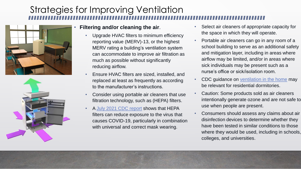



### • **Filtering and/or cleaning the air**.

- Upgrade HVAC filters to minimum efficiency reporting value (MERV)-13, or the highest MERV rating a building's ventilation system can accommodate to improve air filtration as much as possible without significantly reducing airflow.
- Ensure HVAC filters are sized, installed, and replaced at least as frequently as according to the manufacturer's instructions.
- Consider using portable air cleaners that use filtration technology, such as (HEPA) filters.
- A [July 2021 CDC report](https://www.cdc.gov/mmwr/volumes/70/wr/mm7027e1.htm?s_cid=mm7027e1_w) shows that HEPA filters can reduce exposure to the virus that causes COVID-19, particularly in combination with universal and correct mask wearing.
- Select air cleaners of appropriate capacity for the space in which they will operate.
- Portable air cleaners can go in any room of a school building to serve as an additional safety and mitigation layer, including in areas where airflow may be limited, and/or in areas where sick individuals may be present such as a nurse's office or sick/isolation room.
- CDC guidance on [ventilation in the home](https://www.cdc.gov/coronavirus/2019-ncov/prevent-getting-sick/Improving-Ventilation-Home.html) may be relevant for residential dormitories.
- Caution: Some products sold as air cleaners intentionally generate ozone and are not safe to use when people are present.
- Consumers should assess any claims about air disinfection devices to determine whether they have been tested in similar conditions to those where they would be used, including in schools, colleges, and universities.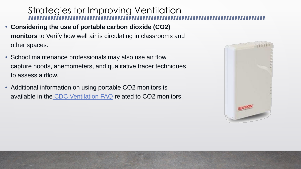- **Considering the use of portable carbon dioxide (CO2) monitors** to Verify how well air is circulating in classrooms and other spaces.
- School maintenance professionals may also use air flow capture hoods, anemometers, and qualitative tracer techniques to assess airflow.
- Additional information on using portable CO2 monitors is available in the [CDC Ventilation FAQ](https://www.cdc.gov/coronavirus/2019-ncov/community/ventilation.html#Ventilation-FAQs.) related to CO2 monitors.

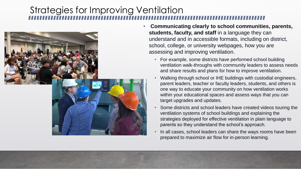

- **Communicating clearly to school communities, parents, students, faculty, and staff** in a language they can understand and in accessible formats, including on district, school, college, or university webpages, how you are assessing and improving ventilation.
	- For example, some districts have performed school building ventilation walk-throughs with community leaders to assess needs and share results and plans for how to improve ventilation.
	- Walking through school or IHE buildings with custodial engineers, parent leaders, teacher or faculty leaders, students, and others is one way to educate your community on how ventilation works within your educational spaces and assess ways that you can target upgrades and updates.
	- Some districts and school leaders have created videos touring the ventilation systems of school buildings and explaining the strategies deployed for effective ventilation in plain language to parents so they understand the school's approach.
	- In all cases, school leaders can share the ways rooms have been prepared to maximize air flow for in-person learning.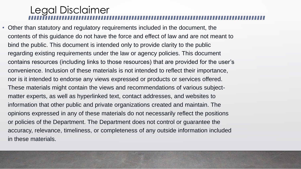### Legal Disclaimer

• Other than statutory and regulatory requirements included in the document, the contents of this guidance do not have the force and effect of law and are not meant to bind the public. This document is intended only to provide clarity to the public regarding existing requirements under the law or agency policies. This document contains resources (including links to those resources) that are provided for the user's convenience. Inclusion of these materials is not intended to reflect their importance, nor is it intended to endorse any views expressed or products or services offered. These materials might contain the views and recommendations of various subjectmatter experts, as well as hyperlinked text, contact addresses, and websites to information that other public and private organizations created and maintain. The opinions expressed in any of these materials do not necessarily reflect the positions or policies of the Department. The Department does not control or guarantee the accuracy, relevance, timeliness, or completeness of any outside information included in these materials.